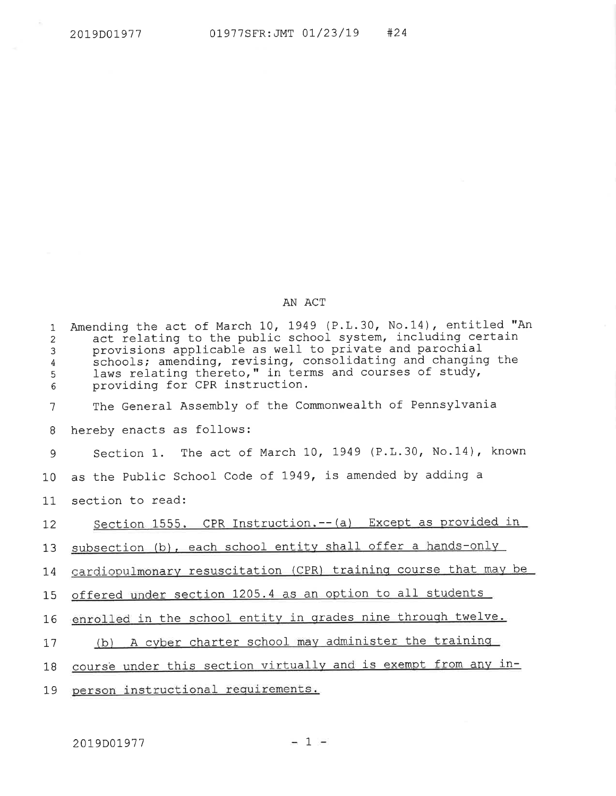## AN ACT

| $\mathbf{1}$<br>$\overline{2}$<br>3<br>4<br>5<br>6 | Amending the act of March 10, 1949 (P.L.30, No.14), entitled "An<br>act relating to the public school system, including certain<br>provisions applicable as well to private and parochial<br>schools; amending, revising, consolidating and changing the<br>laws relating thereto," in terms and courses of study,<br>providing for CPR instruction. |
|----------------------------------------------------|------------------------------------------------------------------------------------------------------------------------------------------------------------------------------------------------------------------------------------------------------------------------------------------------------------------------------------------------------|
| 7                                                  | The General Assembly of the Commonwealth of Pennsylvania                                                                                                                                                                                                                                                                                             |
| 8                                                  | hereby enacts as follows:                                                                                                                                                                                                                                                                                                                            |
| 9                                                  | Section 1. The act of March 10, 1949 (P.L.30, No.14), known                                                                                                                                                                                                                                                                                          |
| 10                                                 | as the Public School Code of 1949, is amended by adding a                                                                                                                                                                                                                                                                                            |
| 11                                                 | section to read:                                                                                                                                                                                                                                                                                                                                     |
| 12                                                 | Section 1555. CPR Instruction.-- (a) Except as provided in                                                                                                                                                                                                                                                                                           |
| 13                                                 | subsection (b), each school entity shall offer a hands-only                                                                                                                                                                                                                                                                                          |
| 14                                                 | cardiopulmonary resuscitation (CPR) training course that may be                                                                                                                                                                                                                                                                                      |
| 15 <sub>1</sub>                                    | offered under section 1205.4 as an option to all students                                                                                                                                                                                                                                                                                            |
| 16                                                 | enrolled in the school entity in grades nine through twelve.                                                                                                                                                                                                                                                                                         |
| 17                                                 | (b) A cyber charter school may administer the training                                                                                                                                                                                                                                                                                               |
| 18                                                 | course under this section virtually and is exempt from any in-                                                                                                                                                                                                                                                                                       |
| 19                                                 | person instructional requirements.                                                                                                                                                                                                                                                                                                                   |